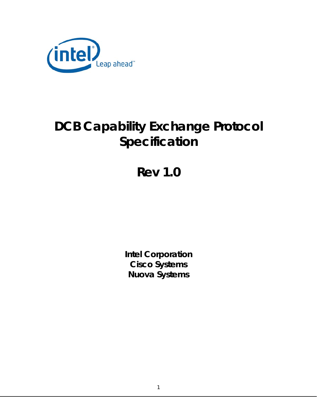

# **DCB Capability Exchange Protocol Specification**

# **Rev 1.0**

**Intel Corporation Cisco Systems Nuova Systems**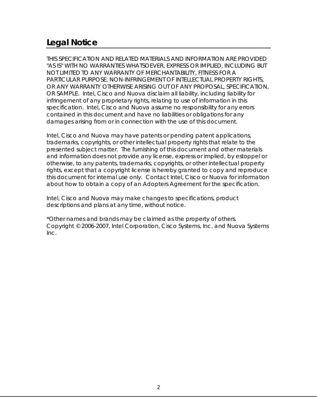# **Legal Notice**

THIS SPECIFICATION AND RELATED MATERIALS AND INFORMATION ARE PROVIDED "AS IS" WITH NO WARRANTIES WHATSOEVER, EXPRESS OR IMPLIED, INCLUDING BUT NOT LIMITED TO ANY WARRANTY OF MERCHANTABILITY, FITNESS FOR A PARTICULAR PURPOSE, NON-INFRINGEMENT OF INTELLECTUAL PROPERTY RIGHTS, OR ANY WARRANTY OTHERWISE ARISING OUT OF ANY PROPOSAL, SPECIFICATION, OR SAMPLE. Intel, Cisco and Nuova disclaim all liability, including liability for infringement of any proprietary rights, relating to use of information in this specification. Intel, Cisco and Nuova assume no responsibility for any errors contained in this document and have no liabilities or obligations for any damages arising from or in connection with the use of this document.

Intel, Cisco and Nuova may have patents or pending patent applications, trademarks, copyrights, or other intellectual property rights that relate to the presented subject matter. The furnishing of this document and other materials and information does not provide any license, express or implied, by estoppel or otherwise, to any patents, trademarks, copyrights, or other intellectual property rights, except that a copyright license is hereby granted to copy and reproduce this document for internal use only. Contact Intel, Cisco or Nuova for information about how to obtain a copy of an Adopters Agreement for the specification.

Intel, Cisco and Nuova may make changes to specifications, product descriptions and plans at any time, without notice.

\*Other names and brands may be claimed as the property of others. Copyright © 2006-2007, Intel Corporation, Cisco Systems, Inc. and Nuova Systems Inc.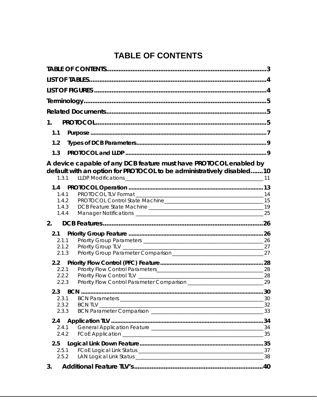# **TABLE OF CONTENTS**

<span id="page-2-0"></span>

| 1.                                                                                                                                                  |          |
|-----------------------------------------------------------------------------------------------------------------------------------------------------|----------|
| 1.1                                                                                                                                                 |          |
| 1.2                                                                                                                                                 |          |
| 1.3                                                                                                                                                 |          |
| A device capable of any DCB feature must have PROTOCOL enabled by<br>default with an option for PROTOCOL to be administratively disabled10<br>1.3.1 |          |
| 1.4                                                                                                                                                 |          |
| 1.4.1<br>1.4.2                                                                                                                                      |          |
| 1.4.3                                                                                                                                               | 19       |
| 1.4.4                                                                                                                                               | 25       |
| 2.                                                                                                                                                  |          |
| 2.1                                                                                                                                                 |          |
| 2.1.1<br>2.1.2                                                                                                                                      | 26<br>27 |
| 2.1.3                                                                                                                                               |          |
| 2.2                                                                                                                                                 |          |
| 2.2.1                                                                                                                                               |          |
| 2.2.2                                                                                                                                               | 28       |
| 2.2.3                                                                                                                                               |          |
| 2.3                                                                                                                                                 |          |
| 2.3.1                                                                                                                                               | 30       |
| 2.3.2<br>2.3.3                                                                                                                                      | _33      |
|                                                                                                                                                     |          |
| 2.4<br>2.4.1                                                                                                                                        |          |
| 2.4.2                                                                                                                                               | 35       |
| 2.5                                                                                                                                                 |          |
| 2.5.1                                                                                                                                               |          |
| 2.5.2                                                                                                                                               | 38       |
| 3.                                                                                                                                                  |          |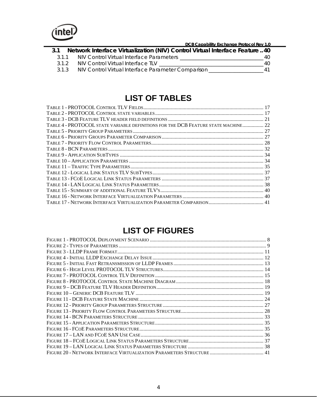<span id="page-3-0"></span>

 **DCB Capability Exchange Protocol Rev 1.0 3.1 [Network Interface Virtualization \(NIV\) Control Virtual Interface Feature](#page-39-0) ..40** 3.1.1 [NIV Control Virtual Interface Parameters](#page-39-0) \_\_\_\_\_\_\_\_\_\_\_\_\_\_\_\_\_\_\_\_\_\_\_\_\_\_\_\_\_\_\_\_40 3.1.2 NIV Control Virtual Interface TLV [\\_\\_\\_\\_\\_\\_\\_\\_\\_\\_\\_\\_\\_\\_\\_\\_\\_\\_\\_\\_\\_\\_\\_\\_\\_\\_\\_\\_\\_\\_\\_\\_\\_\\_\\_\\_\\_\\_\\_\\_40](#page-39-0) 3.1.3 [NIV Control Virtual Interface Parameter Comparison](#page-40-0) \_\_\_\_\_\_\_\_\_\_\_\_\_\_\_\_\_\_\_\_\_41

### **LIST OF TABLES**

| TABLE 4 - PROTOCOL STATE VARIABLE DEFINITIONS FOR THE DCB FEATURE STATE MACHINE 22 |  |
|------------------------------------------------------------------------------------|--|
|                                                                                    |  |
|                                                                                    |  |
|                                                                                    |  |
|                                                                                    |  |
|                                                                                    |  |
|                                                                                    |  |
|                                                                                    |  |
|                                                                                    |  |
|                                                                                    |  |
|                                                                                    |  |
|                                                                                    |  |
|                                                                                    |  |
|                                                                                    |  |
|                                                                                    |  |

### **LIST OF FIGURES**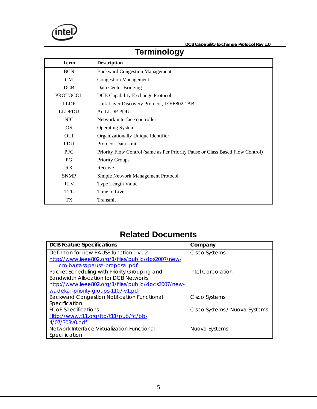<span id="page-4-0"></span>

# **Terminology**

| <b>Term</b>     | <b>Description</b>                                                             |
|-----------------|--------------------------------------------------------------------------------|
| <b>BCN</b>      | <b>Backward Congestion Management</b>                                          |
| CM              | <b>Congestion Management</b>                                                   |
| DCB             | Data Center Bridging                                                           |
| <b>PROTOCOL</b> | <b>DCB Capability Exchange Protocol</b>                                        |
| <b>LLDP</b>     | Link Layer Discovery Protocol, IEEE802.1AB                                     |
| <b>LLDPDU</b>   | An LLDP PDU                                                                    |
| <b>NIC</b>      | Network interface controller                                                   |
| <b>OS</b>       | Operating System.                                                              |
| <b>OUI</b>      | Organizationally Unique Identifier                                             |
| <b>PDU</b>      | Protocol Data Unit                                                             |
| <b>PFC</b>      | Priority Flow Control (same as Per Priority Pause or Class Based Flow Control) |
| <b>PG</b>       | <b>Priority Groups</b>                                                         |
| RX              | Receive                                                                        |
| <b>SNMP</b>     | Simple Network Management Protocol                                             |
| <b>TLV</b>      | <b>Type Length Value</b>                                                       |
| <b>TTL</b>      | Time to Live                                                                   |
| TX.             | Transmit                                                                       |

# **Related Documents**

| <b>DCB Feature Specifications</b>                   | Company                       |
|-----------------------------------------------------|-------------------------------|
| Definition for new PAUSE function $- v1.2$          | <b>Cisco Systems</b>          |
| http://www.ieee802.org/1/files/public/dos2007/new-  |                               |
| cm-barrass-pause-proposal.pdf                       |                               |
| Packet Scheduling with Priority Grouping and        | Intel Corporation             |
| Bandwidth Allocation for DCB Networks               |                               |
| http://www.ieee802.org/1/files/public/docs2007/new- |                               |
| wadekar-priority-groups-1107-v1.pdf                 |                               |
| <b>Backward Congestion Notification Functional</b>  | Cisco Systems                 |
| Specification                                       |                               |
| <b>FCoE Specifications</b>                          | Cisco Systems / Nuova Systems |
| Http://www.t11.org/ftp/t11/pub/fc/bb-               |                               |
| 4/07/303v0.pdf                                      |                               |
| Network Interface Virtualization Functional         | Nuova Systems                 |
| Specification                                       |                               |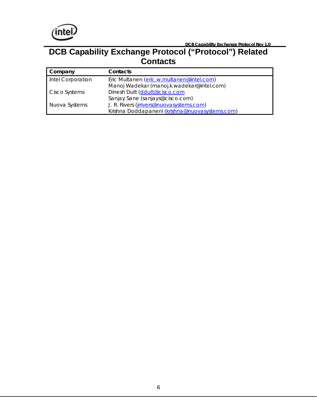

**DCB Capability Exchange Protocol Rev 1.0 DCB** Capability Exchange Protocol Rev 1.0

### **DCB Capability Exchange Protocol ("Protocol") Related Contacts**

| Company           | Contacts                                       |
|-------------------|------------------------------------------------|
| Intel Corporation | Eric Multanen (eric.w.multanen@intel.com)      |
|                   | Manoj Wadekar (manoj.k.wadekar@intel.com)      |
| Cisco Systems     | Dinesh Dutt (ddutt@cisco.com                   |
|                   | Sanjay Sane (sanjays@cisco.com)                |
| Nuova Systems     | J. R. Rivers (jrrivers@nuovasystems.com)       |
|                   | Krishna Doddapaneni (krishna@nuovasystems.com) |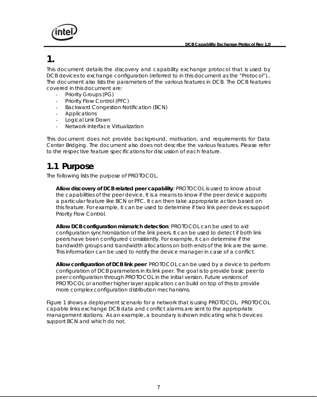<span id="page-6-0"></span>

### **1.**

This document details the discovery and capability exchange protocol that is used by DCB devices to exchange configuration (referred to in this document as the "Protocol").. The document also lists the parameters of the various features in DCB. The DCB features covered in this document are:

- Priority Groups (PG)
- Priority Flow Control (PFC)
- Backward Congestion Notification (BCN)
- **Applications**
- Logical Link Down
- Network Interface Virtualization

This document does not provide background, motivation, and requirements for Data Center Bridging. The document also does not describe the various features. Please refer to the respective feature specifications for discussion of each feature.

### **1.1 Purpose**

The following lists the purpose of PROTOCOL.

**Allow discovery of DCB related peer capability**: PROTOCOL is used to know about the capabilities of the peer device. It is a means to know if the peer device supports a particular feature like BCN or PFC. It can then take appropriate action based on this feature. For example, it can be used to determine if two link peer devices support Priority Flow Control.

**Allow DCB configuration mismatch detection**: PROTOCOL can be used to aid configuration synchronization of the link peers. It can be used to detect if both link peers have been configured consistently. For example, it can determine if the bandwidth groups and bandwidth allocations on both ends of the link are the same. This information can be used to notify the device manager in case of a conflict.

**Allow configuration of DCB link peer**: PROTOCOL can be used by a device to perform configuration of DCB parameters in its link peer. The goal is to provide basic peer to peer configuration through PROTOCOL in the initial version. Future versions of PROTOCOL or another higher layer application can build on top of this to provide more complex configuration distribution mechanisms.

Figure 1 shows a deployment scenario for a network that is using PROTOCOL. PROTOCOL capable links exchange DCB data and conflict alarms are sent to the appropriate management stations. As an example, a boundary is shown indicating which devices support BCN and which do not.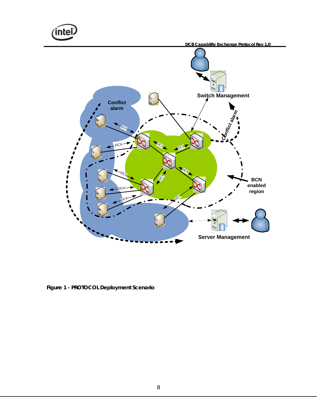<span id="page-7-0"></span>nte)  **DCB Capability Exchange Protocol Rev 1.0 Switch Management Conflict alarm alarm** Con<sub>flict</sub>  $O_{C_{\mathcal{F}}}$ DCX  $\mathcal{O}_{\mathbf{C}_k}$ **DCX**  $O_{C_{\mathcal{K}}}$  $\mathcal{O}_{\mathbb{C} \mathcal{\c}}$  $\mathcal{S}^{\dagger}$ **BCN enabled**  DCX **region** ı OCH<sup>X</sup> **DCX**  $\beta$ W **Server Management**

**Figure 1 - PROTOCOL Deployment Scenario**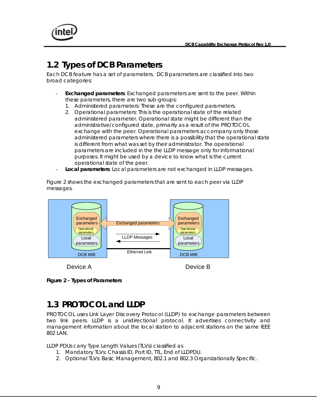<span id="page-8-0"></span>

# **1.2 Types of DCB Parameters**

Each DCB feature has a set of parameters. DCB parameters are classified into two broad categories:

- **Exchanged parameters:** Exchanged parameters are sent to the peer. Within these parameters, there are two sub-groups:
	- 1. Administered parameters: These are the configured parameters.
	- 2. Operational parameters: This is the operational state of the related administered parameter. Operational state might be different than the administrative/configured state, primarily as a result of the PROTOCOL exchange with the peer. Operational parameters accompany only those administered parameters where there is a possibility that the operational state is different from what was set by their administrator. The operational parameters are included in the the LLDP message only for informational purposes. It might be used by a device to know what is the current operational state of the peer.
- **Local parameters**: Local parameters are not exchanged in LLDP messages.

Figure 2 shows the exchanged parameters that are sent to each peer via LLDP messages.





# **1.3 PROTOCOL and LLDP**

PROTOCOL uses Link Layer Discovery Protocol (LLDP) to exchange parameters between two link peers. LLDP is a unidirectional protocol. It advertises connectivity and management information about the local station to adjacent stations on the same IEEE 802 LAN.

LLDP PDUs carry Type Length Values (TLVs) classified as

- 1. Mandatory TLVs: Chassis ID, Port ID, TTL, End of LLDPDU.
- 2. Optional TLVs: Basic Management, 802.1 and 802.3 Organizationally Specific.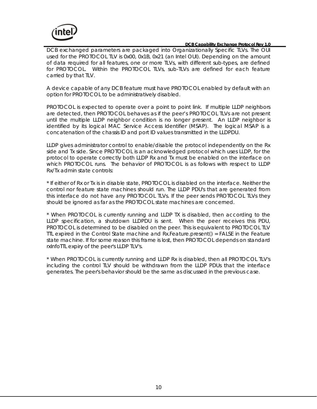<span id="page-9-0"></span>

DCB exchanged parameters are packaged into Organizationally Specific TLVs. The OUI used for the PROTOCOL TLV is 0x00, 0x1B, 0x21 (an Intel OUI). Depending on the amount of data required for all features, one or more TLVs, with different sub-types, are defined for PROTOCOL. Within the PROTOCOL TLVs, sub-TLVs are defined for each feature carried by that TLV.

A device capable of any DCB feature must have PROTOCOL enabled by default with an option for PROTOCOL to be administratively disabled.

PROTOCOL is expected to operate over a point to point link. If multiple LLDP neighbors are detected, then PROTOCOL behaves as if the peer's PROTOCOL TLVs are not present until the multiple LLDP neighbor condition is no longer present. An LLDP neighbor is identified by its logical MAC Service Access Identifier (MSAP). The logical MSAP is a concatenation of the chassis ID and port ID values transmitted in the LLDPDU.

LLDP gives administrator control to enable/disable the protocol independently on the Rx side and Tx side. Since PROTOCOL is an acknowledged protocol which uses LLDP, for the protocol to operate correctly both LLDP Rx and Tx must be enabled on the interface on which PROTOCOL runs. The behavior of PROTOCOL is as follows with respect to LLDP Rx/Tx admin state controls:

\* If either of Rx or Tx is in disable state, PROTOCOL is disabled on the interface. Neither the control nor feature state machines should run. The LLDP PDU's that are generated from this interface do not have any PROTOCOL TLVs. If the peer sends PROTOCOL TLVs they should be ignored as far as the PROTOCOL state machines are concerned.

\* When PROTOCOL is currently running and LLDP TX is disabled, then according to the LLDP specification, a shutdown LLDPDU is sent. When the peer receives this PDU, PROTOCOL is determined to be disabled on the peer. This is equivalent to PROTOCOL TLV TTL expired in the Control State machine and Rx.Feature.present() = FALSE in the Feature state machine. If for some reason this frame is lost, then PROTOCOL depends on standard rxInfoTTL expiry of the peer's LLDP TLV's.

\* When PROTOCOL is currently running and LLDP Rx is disabled, then all PROTOCOL TLV's including the control TLV should be withdrawn from the LLDP PDUs that the interface generates. The peer's behavior should be the same as discussed in the previous case.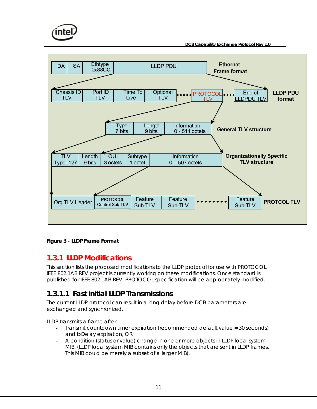<span id="page-10-0"></span>

 **DCB Capability Exchange Protocol Rev 1.0** 



#### **Figure 3 - LLDP Frame Format**

#### **1.3.1 LLDP Modifications**

This section lists the proposed modifications to the LLDP protocol for use with PROTOCOL. IEEE 802.1AB REV project is currently working on these modifications. Once standard is published for IEEE 802.1AB-REV, PROTOCOL specification will be appropriately modified.

#### **1.3.1.1 Fast initial LLDP Transmissions**

The current LLDP protocol can result in a long delay before DCB parameters are exchanged and synchronized.

LLDP transmits a frame after:

- Transmit countdown timer expiration (recommended default value = 30 seconds) and txDelay expiration, OR
- A condition (status or value) change in one or more objects in LLDP local system MIB. (LLDP local system MIB contains only the objects that are sent in LLDP frames. This MIB could be merely a subset of a larger MIB).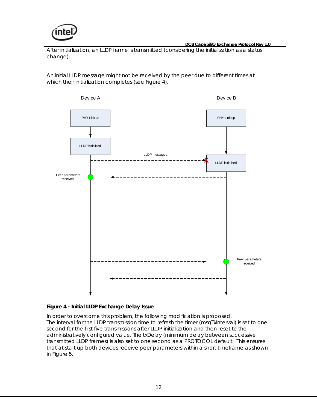<span id="page-11-0"></span>

After initialization, an LLDP frame is transmitted (considering the initialization as a status change).

An initial LLDP message might not be received by the peer due to different times at which their initialization completes (see Figure 4).



#### **Figure 4 - Initial LLDP Exchange Delay Issue**

In order to overcome this problem, the following modification is proposed. The interval for the LLDP transmission time to refresh the timer (msgTxInterval) is set to one second for the first five transmissions after LLDP initialization and then reset to the administratively configured value. The txDelay (minimum delay between successive transmitted LLDP frames) is also set to one second as a PROTOCOL default. This ensures that at start up both devices receive peer parameters within a short timeframe as shown in Figure 5.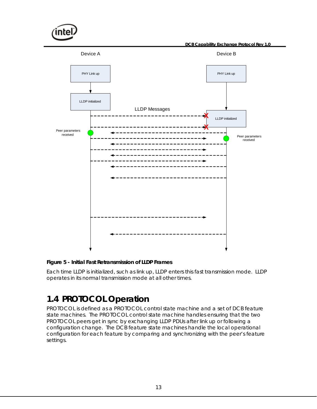<span id="page-12-0"></span>

#### **Figure 5 - Initial Fast Retransmission of LLDP Frames**

Each time LLDP is initialized, such as link up, LLDP enters this fast transmission mode. LLDP operates in its normal transmission mode at all other times.

# **1.4 PROTOCOL Operation**

PROTOCOL is defined as a PROTOCOL control state machine and a set of DCB feature state machines. The PROTOCOL control state machine handles ensuring that the two PROTOCOL peers get in sync by exchanging LLDP PDUs after link up or following a configuration change. The DCB feature state machines handle the local operational configuration for each feature by comparing and synchronizing with the peer's feature settings.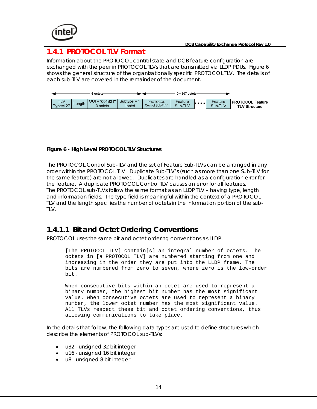<span id="page-13-0"></span>

#### **1.4.1 PROTOCOL TLV Format**

Information about the PROTOCOL control state and DCB feature configuration are exchanged with the peer in PROTOCOL TLVs that are transmitted via LLDP PDUs. Figure 6 shows the general structure of the organizationally specific PROTOCOL TLV. The details of each sub-TLV are covered in the remainder of the document.



#### **Figure 6 - High Level PROTOCOL TLV Structures**

The PROTOCOL Control Sub-TLV and the set of Feature Sub-TLVs can be arranged in any order within the PROTOCOL TLV. Duplicate Sub-TLV's (such as more than one Sub-TLV for the same feature) are not allowed. Duplicates are handled as a configuration error for the feature. A duplicate PROTOCOL Control TLV causes an error for all features. The PROTOCOL sub-TLVs follow the same format as an LLDP TLV – having type, length and information fields. The type field is meaningful within the context of a PROTOCOL TLV and the length specifies the number of octets in the information portion of the sub-TLV.

#### **1.4.1.1 Bit and Octet Ordering Conventions**

PROTOCOL uses the same bit and octet ordering conventions as LLDP.

[The PROTOCOL TLV] contain[s] an integral number of octets. The octets in [a PROTOCOL TLV] are numbered starting from one and increasing in the order they are put into the LLDP frame. The bits are numbered from zero to seven, where zero is the low-order bit.

When consecutive bits within an octet are used to represent a binary number, the highest bit number has the most significant value. When consecutive octets are used to represent a binary number, the lower octet number has the most significant value. All TLVs respect these bit and octet ordering conventions, thus allowing communications to take place.

In the details that follow, the following data types are used to define structures which describe the elements of PROTOCOL sub-TLVs:

- u32 unsigned 32 bit integer
- u16 unsigned 16 bit integer
- u8 unsigned 8 bit integer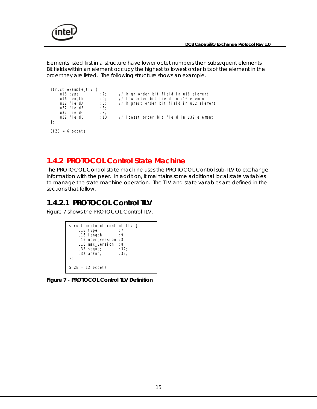<span id="page-14-0"></span>

Elements listed first in a structure have lower octet numbers then subsequent elements. Bit fields within an element occupy the highest to lowest order bits of the element in the order they are listed. The following structure shows an example.

```
SIZE = 6 octets}; 
   u32 fieldD :13; // lowest order bit field in u32 element
   u32 fieldC : 3;
   u32 fieldB : 8;
   u32 fieldA : 8; // highest order bit field in u32 element
   u16 length : 9; // low order bit field in u16 element
   u16 type :7; // high order bit field in u16 element
struct example_tlv {
```
#### **1.4.2 PROTOCOL Control State Machine**

The PROTOCOL Control state machine uses the PROTOCOL Control sub-TLV to exchange information with the peer. In addition, it maintains some additional local state variables to manage the state machine operation. The TLV and state variables are defined in the sections that follow.

#### **1.4.2.1 PROTOCOL Control TLV**

Figure 7 shows the PROTOCOL Control TLV.

```
SIZE = 12 octets 
struct protocol_control_tlv { 
   u16 type :7;<br>u16 Length :9u16 length
 u16 oper_version :8; 
 u16 max_version :8; 
   u32 seqno; : 32;
   u32 ackno; : 32;
};
```
**Figure 7 - PROTOCOL Control TLV Definition**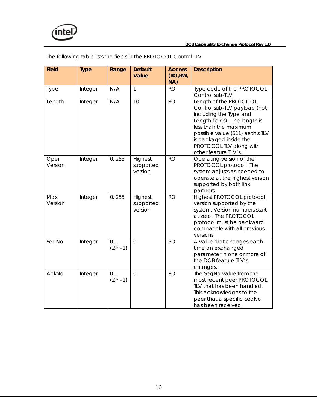

| <b>Field</b>    | <b>Type</b> | Range                      | <b>Default</b><br>Value         | <b>Access</b><br>(RO, RW,<br>NA) | <b>Description</b>                                                                                                                                                                                                                                          |
|-----------------|-------------|----------------------------|---------------------------------|----------------------------------|-------------------------------------------------------------------------------------------------------------------------------------------------------------------------------------------------------------------------------------------------------------|
| Type            | Integer     | N/A                        | 1                               | <b>RO</b>                        | Type code of the PROTOCOL<br>Control sub-TLV.                                                                                                                                                                                                               |
| Length          | Integer     | N/A                        | 10                              | <b>RO</b>                        | Length of the PROTOCOL<br>Control sub-TLV payload (not<br>including the Type and<br>Length fields). The length is<br>less than the maximum<br>possible value (511) as this TLV<br>is packaged inside the<br>PROTOCOL TLV along with<br>other feature TLV's. |
| Oper<br>Version | Integer     | 0.255                      | Highest<br>supported<br>version | <b>RO</b>                        | Operating version of the<br>PROTOCOL protocol. The<br>system adjusts as needed to<br>operate at the highest version<br>supported by both link<br>partners.                                                                                                  |
| Max<br>Version  | Integer     | 0.255                      | Highest<br>supported<br>version | <b>RO</b>                        | Highest PROTOCOL protocol<br>version supported by the<br>system. Version numbers start<br>at zero. The PROTOCOL<br>protocol must be backward<br>compatible with all previous<br>versions.                                                                   |
| SeqNo           | Integer     | $0 \ldots$<br>$(2^{32}-1)$ | $\Omega$                        | <b>RO</b>                        | A value that changes each<br>time an exchanged<br>parameter in one or more of<br>the DCB feature TLV's<br>changes.                                                                                                                                          |
| AckNo           | Integer     | $0 \ldots$<br>$(2^{32}-1)$ | $\overline{0}$                  | <b>RO</b>                        | The SeqNo value from the<br>most recent peer PROTOCOL<br>TLV that has been handled.<br>This acknowledges to the<br>peer that a specific SeqNo<br>has been received.                                                                                         |

The following table lists the fields in the PROTOCOL Control TLV.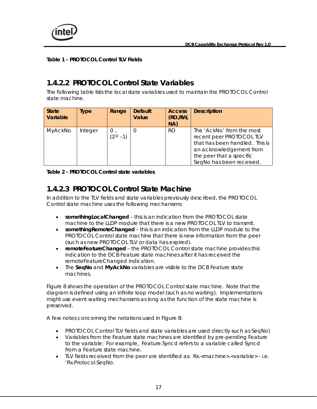<span id="page-16-0"></span>

**Table 1 - PROTOCOL Control TLV Fields** 

#### **1.4.2.2 PROTOCOL Control State Variables**

The following table lists the local state variables used to maintain the PROTOCOL Control state machine.

| <b>State</b><br>Variable | Type    | Range              | <b>Default</b><br>Value | <b>Access</b><br>(RO, RW,<br>NA) | <b>Description</b>                                                                                                                                                         |
|--------------------------|---------|--------------------|-------------------------|----------------------------------|----------------------------------------------------------------------------------------------------------------------------------------------------------------------------|
| MyAckNo                  | Integer | $0$<br>$(232 - 1)$ |                         | <b>RO</b>                        | The 'AckNo' from the most<br>recent peer PROTOCOL TLV<br>that has been handled. This is<br>an acknowledgement from<br>the peer that a specific<br>SeqNo has been received. |

#### **Table 2 - PROTOCOL Control state variables**

#### **1.4.2.3 PROTOCOL Control State Machine**

In addition to the TLV fields and state variables previously described, the PROTOCOL Control state machine uses the following mechanisms:

- **somethingLocalChanged** this is an indication from the PROTOCOL state machine to the LLDP module that there is a new PROTOCOL TLV to transmit.
- **somethingRemoteChanged** this is an indication from the LLDP module to the PROTOCOL Control state machine that there is new information from the peer (such as new PROTOCOL TLV or data has expired).
- **remoteFeatureChanged** the PROTOCOL Control state machine provides this indication to the DCB Feature state machines after it has received the remoteFeatureChanged indication.
- The **SeqNo** and **MyAckNo** variables are visible to the DCB Feature state machines.

Figure 8 shows the operation of the PROTOCOL Control state machine. Note that the diagram is defined using an infinite loop model (such as no waiting). Implementations might use event waiting mechanisms as long as the function of the state machine is preserved.

A few notes concerning the notations used in Figure 8:

- PROTOCOL Control TLV fields and state variables are used directly such as SeqNo)
- Variables from the Feature state machines are identified by pre-pending Feature to the variable: For example, Feature.Syncd refers to a variable called Syncd from a Feature state machine.
- ILV fields received from the peer are identified as: Rx.<machine>.<variable> i.e. 'Rx.Protocol.SeqNo.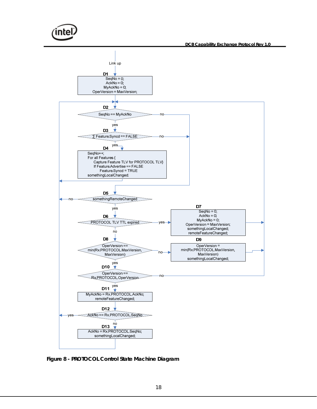<span id="page-17-0"></span>

**Figure 8 - PROTOCOL Control State Machine Diagram**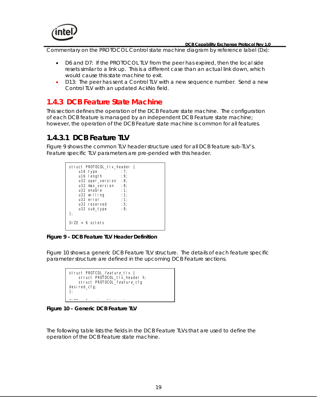<span id="page-18-0"></span>

Commentary on the PROTOCOL Control state machine diagram by reference label (D*x*):

- D6 and D7: If the PROTOCOL TLV from the peer has expired, then the local side resets similar to a link up. This is a different case than an actual link down, which would cause this state machine to exit.
- D13: The peer has sent a Control TLV with a new sequence number. Send a new Control TLV with an updated AckNo field.

#### **1.4.3 DCB Feature State Machine**

This section defines the operation of the DCB Feature state machine. The configuration of each DCB feature is managed by an independent DCB Feature state machine; however, the operation of the DCB Feature state machine is common for all features.

#### **1.4.3.1 DCB Feature TLV**

Figure 9 shows the common TLV header structure used for all DCB feature sub-TLV's. Feature specific TLV parameters are pre-pended with this header.

| struct PROTOCOL tlv header { |      |
|------------------------------|------|
| u16 type                     | : 7: |
| u16 length                   | : 9: |
| $u32$ oper_version : 8;      |      |
| u32 max version              | :8;  |
| u32 enable                   | : 1: |
| u32 willing                  | : 1: |
| $1132$ error                 | : 1: |
| u32 reserved                 | : 5; |
| u32 sub_type                 | :8;  |
| };                           |      |
| $SIZE = 6 octets$            |      |
|                              |      |

**Figure 9 – DCB Feature TLV Header Definition** 

Figure 10 shows a generic DCB Feature TLV structure. The details of each feature specific parameter structure are defined in the upcoming DCB Feature sections.



**Figure 10 – Generic DCB Feature TLV** 

The following table lists the fields in the DCB Feature TLVs that are used to define the operation of the DCB Feature state machine.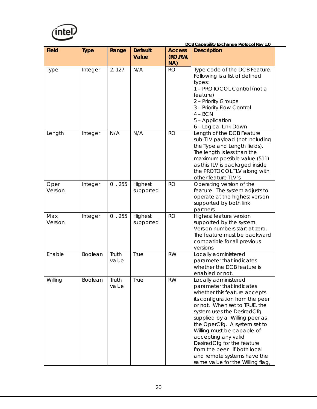

Field | Type | Range | Default **Value Access (RO,RW, NA) Description**  Type  $\vert$  Integer  $\vert$  2..127  $\vert$  N/A  $\vert$  RO  $\vert$  Type code of the DCB Feature. Following is a list of defined types: 1 – PROTOCOL Control (not a feature) 2 – Priority Groups 3 – Priority Flow Control  $4 - BCN$ 5 – Application 6 – Logical Link Down Length  $\vert$  Integer  $\vert N/A \vert N/A \vert$  RO Length of the DCB Feature sub-TLV payload (not including the Type and Length fields). The length is less than the maximum possible value (511) as this TLV is packaged inside the PROTOCOL TLV along with other feature TLV's. Oper Version Integer  $\vert 0..255 \vert$  Highest supported RO **Operating version of the** feature. The system adjusts to operate at the highest version supported by both link partners. Integer | 0..255 | Highest supported RO | Highest feature version supported by the system.

 **DCB Capability Exchange Protocol Rev 1.0** 

| Max<br>Version | Integer        | 0.255          | Highest<br>supported | <b>RO</b> | Highest feature version<br>supported by the system.<br>Version numbers start at zero.<br>The feature must be backward<br>compatible for all previous<br>versions.                                                                                                                                                                                                                                                                          |
|----------------|----------------|----------------|----------------------|-----------|--------------------------------------------------------------------------------------------------------------------------------------------------------------------------------------------------------------------------------------------------------------------------------------------------------------------------------------------------------------------------------------------------------------------------------------------|
| Enable         | <b>Boolean</b> | Truth<br>value | True                 | <b>RW</b> | Locally administered<br>parameter that indicates<br>whether the DCB feature is<br>enabled or not.                                                                                                                                                                                                                                                                                                                                          |
| Willing        | Boolean        | Truth<br>value | <b>True</b>          | <b>RW</b> | Locally administered<br>parameter that indicates<br>whether this feature accepts<br>its configuration from the peer<br>or not. When set to TRUE, the<br>system uses the DesiredCfg<br>supplied by a !Willing peer as<br>the OperCfg. A system set to<br>Willing must be capable of<br>accepting any valid<br>DesiredCfg for the feature<br>from the peer. If both local<br>and remote systems have the<br>same value for the Willing flag, |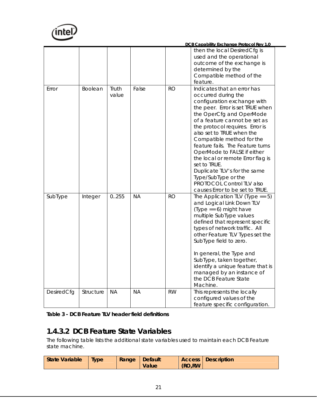<span id="page-20-0"></span>

|            |           |                |           |           | DCB Capability Exchange Protocol Rev 1.0                                                                                                                                                                                                                                                                                                                                                                                                                                                                                       |
|------------|-----------|----------------|-----------|-----------|--------------------------------------------------------------------------------------------------------------------------------------------------------------------------------------------------------------------------------------------------------------------------------------------------------------------------------------------------------------------------------------------------------------------------------------------------------------------------------------------------------------------------------|
|            |           |                |           |           | then the local DesiredCfg is<br>used and the operational<br>outcome of the exchange is                                                                                                                                                                                                                                                                                                                                                                                                                                         |
|            |           |                |           |           | determined by the<br>Compatible method of the<br>feature.                                                                                                                                                                                                                                                                                                                                                                                                                                                                      |
| Error      | Boolean   | Truth<br>value | False     | <b>RO</b> | Indicates that an error has<br>occurred during the<br>configuration exchange with<br>the peer. Error is set TRUE when<br>the OperCfg and OperMode<br>of a feature cannot be set as<br>the protocol requires. Error is<br>also set to TRUE when the<br>Compatible method for the<br>feature fails. The Feature turns<br>OperMode to FALSE if either<br>the local or remote Error flag is<br>set to TRUE.<br>Duplicate TLV's for the same<br>Type/SubType or the<br>PROTOCOL Control TLV also<br>causes Error to be set to TRUE. |
| SubType    | Integer   | 0.255          | <b>NA</b> | <b>RO</b> | The Application TLV (Type == $5$ )<br>and Logical Link Down TLV<br>$(Type == 6)$ might have<br>multiple SubType values<br>defined that represent specific<br>types of network traffic. All<br>other Feature TLV Types set the<br>SubType field to zero.<br>In general, the Type and<br>SubType, taken together,<br>identify a unique feature that is<br>managed by an instance of<br>the DCB Feature State<br>Machine.                                                                                                         |
| DesiredCfg | Structure | <b>NA</b>      | <b>NA</b> | <b>RW</b> | This represents the locally<br>configured values of the<br>feature specific configuration.                                                                                                                                                                                                                                                                                                                                                                                                                                     |

| Table 3 - DCB Feature TLV header field definitions |
|----------------------------------------------------|
|----------------------------------------------------|

### **1.4.3.2 DCB Feature State Variables**

The following table lists the additional state variables used to maintain each DCB Feature state machine.

| State Variable<br><b>Type</b> | <b>Range Default</b> | Value | (RO,RW) | <b>Access Description</b> |
|-------------------------------|----------------------|-------|---------|---------------------------|
|-------------------------------|----------------------|-------|---------|---------------------------|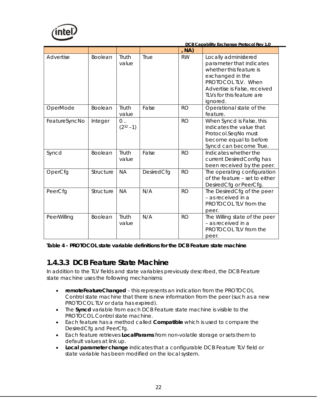<span id="page-21-0"></span>

|               |                |                     |            | , NA)     |                                                                                                                                                                                                |
|---------------|----------------|---------------------|------------|-----------|------------------------------------------------------------------------------------------------------------------------------------------------------------------------------------------------|
| Advertise     | <b>Boolean</b> | Truth<br>value      | True       | <b>RW</b> | Locally administered<br>parameter that indicates<br>whether this feature is<br>exchanged in the<br>PROTOCOL TLV. When<br>Advertise is False, received<br>TLVs for this feature are<br>ignored. |
| OperMode      | Boolean        | Truth<br>value      | False      | <b>RO</b> | Operational state of the<br>feature.                                                                                                                                                           |
| FeatureSyncNo | Integer        | $0$<br>$(2^{32}-1)$ |            | <b>RO</b> | When Syncd is False, this<br>indicates the value that<br>Protocol.SeqNo must<br>become equal to before<br>Syncd can become True.                                                               |
| Syncd         | Boolean        | Truth<br>value      | False      | <b>RO</b> | Indicates whether the<br>current DesiredConfig has<br>been received by the peer.                                                                                                               |
| OperCfg       | Structure      | <b>NA</b>           | DesiredCfg | <b>RO</b> | The operating configuration<br>of the feature - set to either<br>DesiredCfg or PeerCfg.                                                                                                        |
| PeerCfg       | Structure      | <b>NA</b>           | N/A        | <b>RO</b> | The DesiredCfg of the peer<br>- as received in a<br>PROTOCOL TLV from the<br>peer.                                                                                                             |
| PeerWilling   | Boolean        | Truth<br>value      | N/A        | <b>RO</b> | The Willing state of the peer<br>- as received in a<br>PROTOCOL TLV from the<br>peer.                                                                                                          |

**Table 4 - PROTOCOL state variable definitions for the DCB Feature state machine** 

#### **1.4.3.3 DCB Feature State Machine**

In addition to the TLV fields and state variables previously described, the DCB Feature state machine uses the following mechanisms:

- **remoteFeatureChanged**  this represents an indication from the PROTOCOL Control state machine that there is new information from the peer (such as a new PROTOCOL TLV or data has expired).
- The **Syncd** variable from each DCB Feature state machine is visible to the PROTOCOL Control state machine.
- Each feature has a method called **Compatible** which is used to compare the DesiredCfg and PeerCfg.
- Each feature retrieves **LocalParams** from non-volatile storage or sets them to default values at link up.
- **Local parameter change** indicates that a configurable DCB Feature TLV field or state variable has been modified on the local system.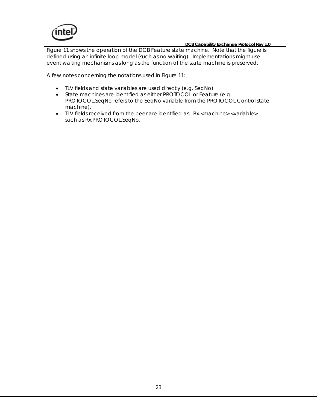

Figure 11 shows the operation of the DCB Feature state machine. Note that the figure is defined using an infinite loop model (such as no waiting). Implementations might use event waiting mechanisms as long as the function of the state machine is preserved.

A few notes concerning the notations used in Figure 11:

- TLV fields and state variables are used directly (e.g. SeqNo)
- State machines are identified as either PROTOCOL or Feature (e.g. PROTOCOL.SeqNo refers to the SeqNo variable from the PROTOCOL Control state machine).
- TLV fields received from the peer are identified as: Rx.<machine>.<variable> such as Rx.PROTOCOL.SeqNo.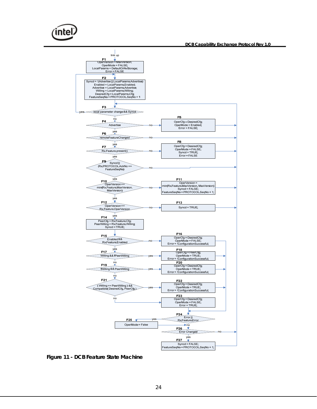<span id="page-23-0"></span>

**Figure 11 - DCB Feature State Machine**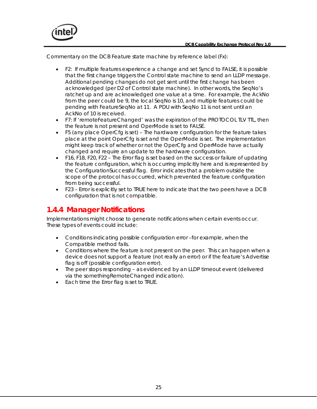<span id="page-24-0"></span>

Commentary on the DCB Feature state machine by reference label (F*x*):

- F2: If multiple features experience a change and set Syncd to FALSE, it is possible that the first change triggers the Control state machine to send an LLDP message. Additional pending changes do not get sent until the first change has been acknowledged (per D2 of Control state machine). In other words, the SeqNo's ratchet up and are acknowledged one value at a time. For example, the AckNo from the peer could be 9, the local SeqNo is 10, and multiple features could be pending with FeatureSeqNo at 11. A PDU with SeqNo 11 is not sent until an AckNo of 10 is received.
- F7: If 'remoteFeatureChanged' was the expiration of the PROTOCOL TLV TTL, then the feature is not present and OperMode is set to FALSE.
- F5 (any place OperCfg is set) The hardware configuration for the feature takes place at the point OperCfg is set and the OperMode is set. The implementation might keep track of whether or not the OperCfg and OperMode have actually changed and require an update to the hardware configuration.
- F16, F18, F20, F22 The Error flag is set based on the success or failure of updating the feature configuration, which is occurring implicitly here and is represented by the ConfigurationSuccessful flag. Error indicates that a problem outside the scope of the protocol has occurred, which prevented the feature configuration from being successful.
- F23 Error is explicitly set to TRUE here to indicate that the two peers have a DCB configuration that is not compatible.

#### **1.4.4 Manager Notifications**

Implementations might choose to generate notifications when certain events occur. These types of events could include:

- Conditions indicating possible configuration error –for example, when the Compatible method fails.
- Conditions where the feature is not present on the peer. This can happen when a device does not support a feature (not really an error) or if the feature's Advertise flag is off (possible configuration error).
- The peer stops responding as evidenced by an LLDP timeout event (delivered via the somethingRemoteChanged indication).
- Each time the Error flag is set to TRUE.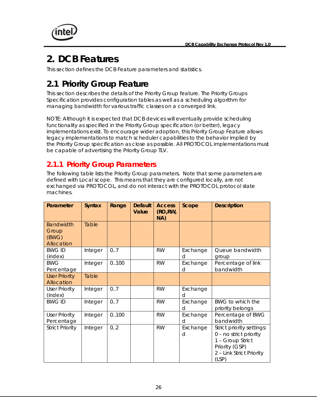<span id="page-25-0"></span>

# **2. DCB Features**

This section defines the DCB Feature parameters and statistics.

# **2.1 Priority Group Feature**

This section describes the details of the Priority Group feature. The Priority Groups Specification provides configuration tables as well as a scheduling algorithm for managing bandwidth for various traffic classes on a converged link.

NOTE: Although it is expected that DCB devices will eventually provide scheduling functionality as specified in the Priority Group specification (or better), legacy implementations exist. To encourage wider adoption, this Priority Group Feature allows legacy implementations to match scheduler capabilities to the behavior implied by the Priority Group specification as close as possible. All PROTOCOL implementations must be capable of advertising the Priority Group TLV.

#### **2.1.1 Priority Group Parameters**

The following table lists the Priority Group parameters. Note that some parameters are defined with Local scope. This means that they are configured locally, are not exchanged via PROTOCOL, and do not interact with the PROTOCOL protocol state machines.

| Parameter                                        | <b>Syntax</b> | Range | <b>Default</b><br>Value | <b>Access</b><br>(RO, RW,<br>NA) | Scope         | <b>Description</b>                                                                                                             |
|--------------------------------------------------|---------------|-------|-------------------------|----------------------------------|---------------|--------------------------------------------------------------------------------------------------------------------------------|
| <b>Bandwidth</b><br>Group<br>(BWG)<br>Allocation | Table         |       |                         |                                  |               |                                                                                                                                |
| <b>BWG ID</b><br>(index)                         | Integer       | 0.7   |                         | <b>RW</b>                        | Exchange<br>d | Queue bandwidth<br>group                                                                                                       |
| <b>BWG</b><br>Percentage                         | Integer       | 0.100 |                         | <b>RW</b>                        | Exchange<br>d | Percentage of link<br>bandwidth                                                                                                |
| <b>User Priority</b><br>Allocation               | Table         |       |                         |                                  |               |                                                                                                                                |
| <b>User Priority</b><br>(index)                  | Integer       | 0.7   |                         | <b>RW</b>                        | Exchange<br>d |                                                                                                                                |
| <b>BWG ID</b>                                    | Integer       | 0.7   |                         | <b>RW</b>                        | Exchange<br>d | BWG to which the<br>priority belongs                                                                                           |
| <b>User Priority</b><br>Percentage               | Integer       | 0.100 |                         | <b>RW</b>                        | Exchange<br>d | Percentage of BWG<br>bandwidth                                                                                                 |
| <b>Strict Priority</b>                           | Integer       | 0.2   |                         | <b>RW</b>                        | Exchange<br>d | Strict priority settings:<br>0 - no strict priority<br>1 - Group Strict<br>Priority (GSP)<br>2 - Link Strict Priority<br>(LSP) |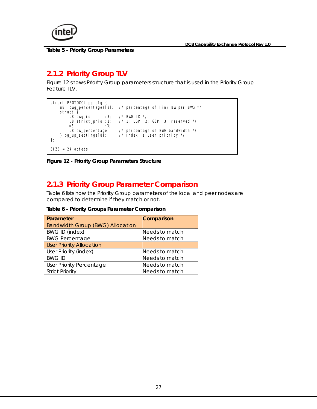<span id="page-26-0"></span>

**Table 5 - Priority Group Parameters** 

#### **2.1.2 Priority Group TLV**

Figure 12 shows Priority Group parameters structure that is used in the Priority Group Feature TLV.

```
SIZE = 24 octets 
          u8 bwg_id :3; /* BWG ID */<br>u8 strict_prio :2; /* 1: LSP, 2
          u8 strict_prio : 2; \frac{1}{2} /* 1: LSP, 2: GSP, 3: reserved */<br>u8 : 3;
           u8 :3; 
     u8 bw_percentage; /* percentage of BWG bandwidth */<br>} pg_up_settings[8]; /* Index is user priority */
                                     \frac{1}{2} index is user priority */
}; 
struct PROTOCOL_pg_cfg { 
     u8 bwg_percentages[8]; /* percentage of link BW per BWG */
     struct}
```
**Figure 12 - Priority Group Parameters Structure** 

#### **2.1.3 Priority Group Parameter Comparison**

Table 6 lists how the Priority Group parameters of the local and peer nodes are compared to determine if they match or not.

**Table 6 - Priority Groups Parameter Comparison** 

| Parameter                               | Comparison     |
|-----------------------------------------|----------------|
| <b>Bandwidth Group (BWG) Allocation</b> |                |
| <b>BWG ID (index)</b>                   | Needs to match |
| <b>BWG Percentage</b>                   | Needs to match |
| <b>User Priority Allocation</b>         |                |
| User Priority (index)                   | Needs to match |
| <b>BWG ID</b>                           | Needs to match |
| <b>User Priority Percentage</b>         | Needs to match |
| <b>Strict Priority</b>                  | Needs to match |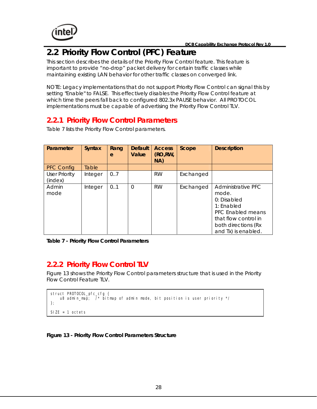<span id="page-27-0"></span>

# **2.2 Priority Flow Control (PFC) Feature**

This section describes the details of the Priority Flow Control feature. This feature is important to provide "no-drop" packet delivery for certain traffic classes while maintaining existing LAN behavior for other traffic classes on converged link.

NOTE: Legacy implementations that do not support Priority Flow Control can signal this by setting "Enable" to FALSE. This effectively disables the Priority Flow Control feature at which time the peers fall back to configured 802.3x PAUSE behavior. All PROTOCOL implementations must be capable of advertising the Priority Flow Control TLV.

### **2.2.1 Priority Flow Control Parameters**

Table 7 lists the Priority Flow Control parameters.

| Parameter                       | <b>Syntax</b> | Rang<br>e | <b>Default</b><br>Value | <b>Access</b><br>(RO, RW,<br>NA) | Scope     | <b>Description</b>                                                                                                                                    |
|---------------------------------|---------------|-----------|-------------------------|----------------------------------|-----------|-------------------------------------------------------------------------------------------------------------------------------------------------------|
| <b>PFC Config</b>               | Table         |           |                         |                                  |           |                                                                                                                                                       |
| <b>User Priority</b><br>(index) | Integer       | 0.7       |                         | <b>RW</b>                        | Exchanged |                                                                                                                                                       |
| Admin<br>mode                   | Integer       | 0.1       | $\Omega$                | <b>RW</b>                        | Exchanged | Administrative PFC<br>mode.<br>0: Disabled<br>$1:$ Enabled<br>PFC Enabled means<br>that flow control in<br>both directions (Rx<br>and Tx) is enabled. |

**Table 7 - Priority Flow Control Parameters** 

#### **2.2.2 Priority Flow Control TLV**

Figure 13 shows the Priority Flow Control parameters structure that is used in the Priority Flow Control Feature TLV.

```
struct PROTOCOL_pfc_cfg { 
    u8 admin_map; \overline{7} bitmap of admin mode, bit position is user priority \overline{7}}; 
SIZE = 1 octets
```
**Figure 13 - Priority Flow Control Parameters Structure**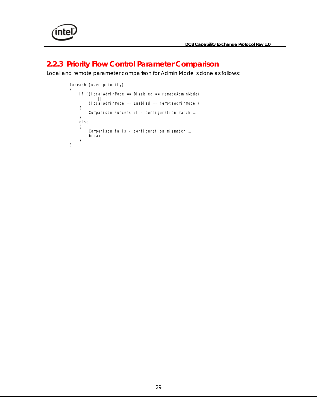<span id="page-28-0"></span>

#### **2.2.3 Priority Flow Control Parameter Comparison**

Local and remote parameter comparison for Admin Mode is done as follows:

```
foreach (user_priority)
{ 
     if ((localAdminMode == Disabled == remoteAdminMode) 
 || 
 (localAdminMode == Enabled == remoteAdminMode)) 
     { 
        Comparison successful – configuration match ...
     } 
     else 
     { 
        Comparison fails – configuration mismatch ...
         break 
     } 
}
```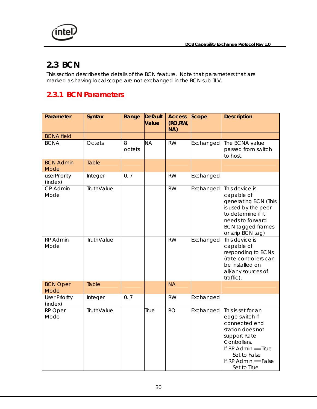<span id="page-29-0"></span>

### **2.3 BCN**

This section describes the details of the BCN feature. Note that parameters that are marked as having local scope are not exchanged in the BCN sub-TLV.

### **2.3.1 BCN Parameters**

| Parameter                       | <b>Syntax</b> | Range       | <b>Default</b><br>Value | <b>Access</b><br>(RO, RW,<br>NA) | Scope     | <b>Description</b>                                                                                                                                                                            |
|---------------------------------|---------------|-------------|-------------------------|----------------------------------|-----------|-----------------------------------------------------------------------------------------------------------------------------------------------------------------------------------------------|
| <b>BCNA</b> field               |               |             |                         |                                  |           |                                                                                                                                                                                               |
| <b>BCNA</b>                     | Octets        | 8<br>octets | <b>NA</b>               | <b>RW</b>                        | Exchanged | The BCNA value<br>passed from switch<br>to host.                                                                                                                                              |
| <b>BCN Admin</b><br>Mode        | Table         |             |                         |                                  |           |                                                                                                                                                                                               |
| userPriority<br>(index)         | Integer       | 0.7         |                         | <b>RW</b>                        | Exchanged |                                                                                                                                                                                               |
| CP Admin<br>Mode                | TruthValue    |             |                         | <b>RW</b>                        | Exchanged | This device is<br>capable of<br>generating BCN (This<br>is used by the peer<br>to determine if it<br>needs to forward<br><b>BCN</b> tagged frames<br>or strip BCN tag)                        |
| RP Admin<br>Mode                | TruthValue    |             |                         | <b>RW</b>                        | Exchanged | This device is<br>capable of<br>responding to BCNs<br>(rate controllers can<br>be installed on<br>all/any sources of<br>traffic).                                                             |
| <b>BCN Oper</b><br>Mode         | Table         |             |                         | <b>NA</b>                        |           |                                                                                                                                                                                               |
| <b>User Priority</b><br>(index) | Integer       | 0.7         |                         | <b>RW</b>                        | Exchanged |                                                                                                                                                                                               |
| RP Oper<br>Mode                 | TruthValue    |             | True                    | <b>RO</b>                        | Exchanged | This is set for an<br>edge switch if<br>connected end<br>station does not<br>support Rate<br>Controllers.<br>If $RP$ Admin $==$ True<br>Set to False<br>If RP Admin $==$ False<br>Set to True |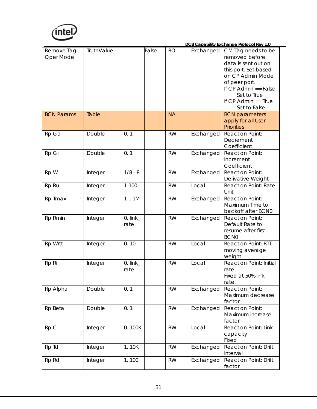

|                         |            |                   |       |           |                  | DCB Capability Exchange Protocol Rev 1.0                                                                                                                          |
|-------------------------|------------|-------------------|-------|-----------|------------------|-------------------------------------------------------------------------------------------------------------------------------------------------------------------|
| Remove Tag<br>Oper Mode | TruthValue |                   | False | <b>RO</b> | <b>Exchanged</b> | CM Tag needs to be<br>removed before<br>data is sent out on<br>this port. Set based<br>on CP Admin Mode<br>of peer port.<br>If $CP$ Admin == False<br>Set to True |
|                         |            |                   |       |           |                  | If $CP$ Admin $==$ True<br>Set to False                                                                                                                           |
| <b>BCN Params</b>       | Table      |                   |       | <b>NA</b> |                  | <b>BCN</b> parameters<br>apply for all User<br><b>Priorities</b>                                                                                                  |
| Rp Gd                   | Double     | 0.1               |       | <b>RW</b> | Exchanged        | <b>Reaction Point:</b><br>Decrement<br>Coefficient                                                                                                                |
| Rp Gi                   | Double     | 0.1               |       | <b>RW</b> | Exchanged        | <b>Reaction Point:</b><br>Increment<br>Coefficient                                                                                                                |
| Rp W                    | Integer    | $1/8 - 8$         |       | <b>RW</b> | Exchanged        | <b>Reaction Point:</b><br>Derivative Weight                                                                                                                       |
| Rp Ru                   | Integer    | $1 - 100$         |       | <b>RW</b> | Local            | <b>Reaction Point: Rate</b><br>Unit                                                                                                                               |
| Rp Tmax                 | Integer    | 1.1M              |       | <b>RW</b> | Exchanged        | <b>Reaction Point:</b><br>Maximum Time to<br>backoff after BCN0                                                                                                   |
| Rp Rmin                 | Integer    | $0$ link_<br>rate |       | <b>RW</b> | Exchanged        | <b>Reaction Point:</b><br>Default Rate to<br>resume after first<br><b>BCN0</b>                                                                                    |
| Rp Wrtt                 | Integer    | 0.10              |       | <b>RW</b> | Local            | <b>Reaction Point: RTT</b><br>moving average<br>weight                                                                                                            |
| Rp Ri                   | Integer    | $0$ link_<br>rate |       | <b>RW</b> | Local            | <b>Reaction Point: Initial</b><br>rate.<br>Fixed at 50% link<br>rate.                                                                                             |
| Rp Alpha                | Double     | 0.1               |       | <b>RW</b> | Exchanged        | <b>Reaction Point:</b><br>Maximum decrease<br>factor                                                                                                              |
| Rp Beta                 | Double     | 0.1               |       | <b>RW</b> | Exchanged        | <b>Reaction Point:</b><br>Maximum increase<br>factor                                                                                                              |
| Rp C                    | Integer    | 0100K             |       | <b>RW</b> | Local            | <b>Reaction Point: Link</b><br>capacity<br>Fixed                                                                                                                  |
| Rp Td                   | Integer    | 1.10K             |       | <b>RW</b> | Exchanged        | <b>Reaction Point: Drift</b><br>Interval                                                                                                                          |
| Rp Rd                   | Integer    | 1100              |       | <b>RW</b> | Exchanged        | <b>Reaction Point: Drift</b><br>factor                                                                                                                            |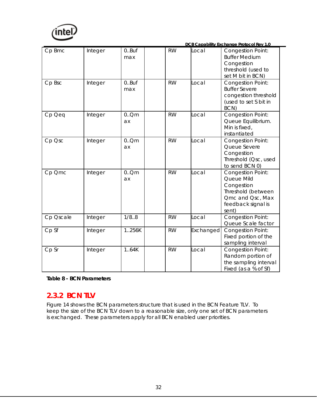<span id="page-31-0"></span>

|           |         |                 |           |           | DCB Capability Exchange Protocol Rev 1.0                                                                                      |
|-----------|---------|-----------------|-----------|-----------|-------------------------------------------------------------------------------------------------------------------------------|
| Cp Bmc    | Integer | $0.8$ uf<br>max | <b>RW</b> | Local     | <b>Congestion Point:</b><br><b>Buffer Medium</b><br>Congestion<br>threshold (used to<br>set M bit in BCN)                     |
| Cp Bsc    | Integer | 0.8uf<br>max    | <b>RW</b> | Local     | <b>Congestion Point:</b><br><b>Buffer Severe</b><br>congestion threshold<br>(used to set S bit in<br>BCN)                     |
| Cp Qeq    | Integer | 0.0cm<br>ax     | <b>RW</b> | Local     | <b>Congestion Point:</b><br>Queue Equilibrium.<br>Min is fixed,<br>instantiated                                               |
| Cp Qsc    | Integer | $0.0$ m<br>ax   | <b>RW</b> | Local     | <b>Congestion Point:</b><br>Queue Severe<br>Congestion<br>Threshold (Qsc, used<br>to send BCN 0)                              |
| Cp Qmc    | Integer | 0.0cm<br>ax     | <b>RW</b> | Local     | <b>Congestion Point:</b><br>Queue Mild<br>Congestion<br>Threshold (between<br>Qmc and Qsc, Max<br>feedback signal is<br>sent) |
| Cp Oscale | Integer | 1/8.8           | <b>RW</b> | Local     | <b>Congestion Point:</b><br>Queue Scale factor                                                                                |
| Cp Sf     | Integer | 1.256K          | <b>RW</b> | Exchanged | <b>Congestion Point:</b><br>Fixed portion of the<br>sampling interval                                                         |
| Cp Sr     | Integer | 1.64K           | <b>RW</b> | Local     | <b>Congestion Point:</b><br>Random portion of<br>the sampling interval<br>Fixed (as a % of Sf)                                |

#### **Table 8 - BCN Parameters**

#### **2.3.2 BCN TLV**

Figure 14 shows the BCN parameters structure that is used in the BCN Feature TLV. To keep the size of the BCN TLV down to a reasonable size, only one set of BCN parameters is exchanged. These parameters apply for all BCN enabled user priorities.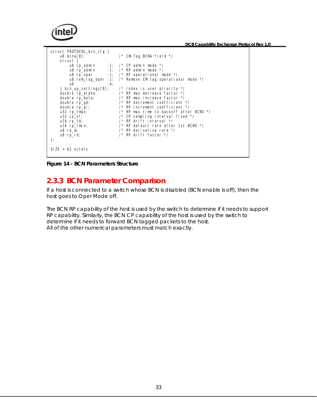<span id="page-32-0"></span>

**Figure 14 - BCN Parameters Structure** 

#### **2.3.3 BCN Parameter Comparison**

If a host is connected to a switch whose BCN is disabled (BCN enable is off), then the host goes to Oper Mode off.

The BCN RP capability of the host is used by the switch to determine if it needs to support RP capability. Similarly, the BCN CP capability of the host is used by the switch to determine if it needs to forward BCN tagged packets to the host. All of the other numerical parameters must match exactly.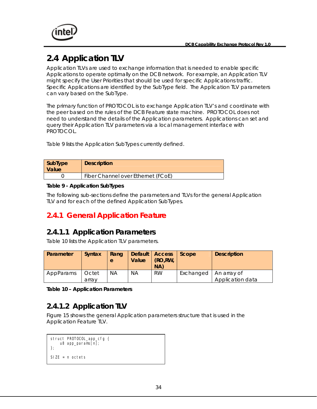<span id="page-33-0"></span>

# **2.4 Application TLV**

Application TLVs are used to exchange information that is needed to enable specific Applications to operate optimally on the DCB network. For example, an Application TLV might specify the User Priorities that should be used for specific Applications traffic. Specific Applications are identified by the SubType field. The Application TLV parameters can vary based on the SubType.

The primary function of PROTOCOL is to exchange Application TLV's and coordinate with the peer based on the rules of the DCB Feature state machine. PROTOCOL does not need to understand the details of the Application parameters. Applications can set and query their Application TLV parameters via a local management interface with PROTOCOL.

Table 9 lists the Application SubTypes currently defined.

| SubType<br>  Value | <b>Description</b>                 |
|--------------------|------------------------------------|
|                    | Fiber Channel over Ethernet (FCoE) |

#### **Table 9 - Application SubTypes**

The following sub-sections define the parameters and TLVs for the general Application TLV and for each of the defined Application SubTypes.

#### **2.4.1 General Application Feature**

#### **2.4.1.1 Application Parameters**

Table 10 lists the Application TLV parameters.

| Parameter | <b>Syntax</b>  | Rang<br>e | Value | Default   Access   Scope<br>(RO, RW)<br>NA) |           | <b>Description</b>              |
|-----------|----------------|-----------|-------|---------------------------------------------|-----------|---------------------------------|
| AppParams | Octet<br>arrav | ΝA        | NА    | <b>RW</b>                                   | Exchanged | An array of<br>Application data |

**Table 10 – Application Parameters** 

#### **2.4.1.2 Application TLV**

Figure 15 shows the general Application parameters structure that is used in the Application Feature TLV.

```
}; 
SIZE = n octets 
struct PROTOCOL_app_cfg { 
     u8 app_params[n];
```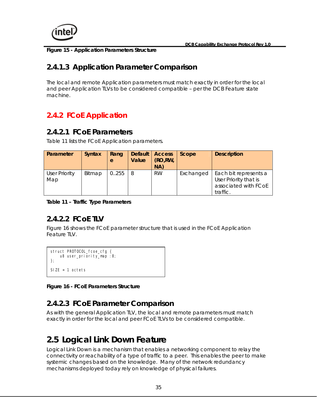<span id="page-34-0"></span>

**Figure 15 - Application Parameters Structure** 

#### **2.4.1.3 Application Parameter Comparison**

The local and remote Application parameters must match exactly in order for the local and peer Application TLVs to be considered compatible – per the DCB Feature state machine.

## **2.4.2 FCoE Application**

#### **2.4.2.1 FCoE Parameters**

Table 11 lists the FCoE Application parameters.

| Parameter                   | <b>Syntax</b> | Rang<br>e | Value    | Default   Access<br>(RO, RW,<br>NA) | Scope     | <b>Description</b>                                                                 |
|-----------------------------|---------------|-----------|----------|-------------------------------------|-----------|------------------------------------------------------------------------------------|
| <b>User Priority</b><br>Map | Bitmap        | 0.255     | <b>8</b> | <b>RW</b>                           | Exchanged | Each bit represents a<br>User Priority that is<br>associated with FCoE<br>traffic. |

**Table 11 – Traffic Type Parameters** 

### **2.4.2.2 FCoE TLV**

Figure 16 shows the FCoE parameter structure that is used in the FCoE Application Feature TLV.

```
SIZE = 1 octetsstruct PROTOCOL_fcoe_cfg { 
   u8 user_priority_map: 8;
};
```
**Figure 16 - FCoE Parameters Structure** 

#### **2.4.2.3 FCoE Parameter Comparison**

As with the general Application TLV, the local and remote parameters must match exactly in order for the local and peer FCoE TLVs to be considered compatible.

# **2.5 Logical Link Down Feature**

Logical Link Down is a mechanism that enables a networking component to relay the connectivity or reachability of a type of traffic to a peer. This enables the peer to make systemic changes based on the knowledge. Many of the network redundancy mechanisms deployed today rely on knowledge of physical failures.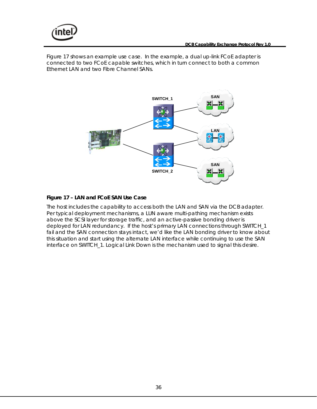<span id="page-35-0"></span>

Figure 17 shows an example use case. In the example, a dual up-link FCoE adapter is connected to two FCoE capable switches, which in turn connect to both a common Ethernet LAN and two Fibre Channel SANs.



#### **Figure 17 – LAN and FCoE SAN Use Case**

The host includes the capability to access both the LAN and SAN via the DCB adapter. Per typical deployment mechanisms, a LUN aware multi-pathing mechanism exists above the SCSI layer for storage traffic, and an active-passive bonding driver is deployed for LAN redundancy. If the host's primary LAN connections through SWITCH\_1 fail and the SAN connection stays intact, we'd like the LAN bonding driver to know about this situation and start using the alternate LAN interface while continuing to use the SAN interface on SWITCH\_1. Logical Link Down is the mechanism used to signal this desire.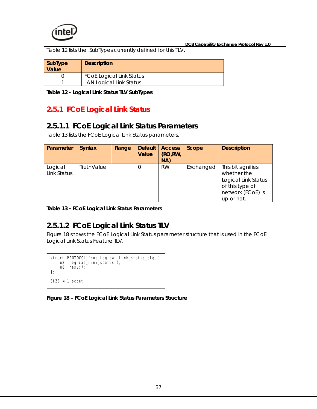<span id="page-36-0"></span>

Table 12 lists the SubTypes currently defined for this TLV.

| SubType<br>Value | <b>Description</b>              |
|------------------|---------------------------------|
|                  | <b>FCoE Logical Link Status</b> |
|                  | <b>LAN Logical Link Status</b>  |

**Table 12 - Logical Link Status TLV SubTypes** 

### **2.5.1 FCoE Logical Link Status**

#### **2.5.1.1 FCoE Logical Link Status Parameters**

Table 13 lists the FCoE Logical Link Status parameters.

| Parameter              | <b>Syntax</b> | Range | <b>Default</b><br>Value | <b>Access</b><br>(RO, RW,<br>NA) | Scope     | <b>Description</b>                                                                                             |
|------------------------|---------------|-------|-------------------------|----------------------------------|-----------|----------------------------------------------------------------------------------------------------------------|
| Logical<br>Link Status | TruthValue    |       | $\Omega$                | <b>RW</b>                        | Exchanged | This bit signifies<br>whether the<br>Logical Link Status<br>of this type of<br>network (FCoE) is<br>up or not. |

**Table 13 - FCoE Logical Link Status Parameters** 

#### **2.5.1.2 FCoE Logical Link Status TLV**

Figure 18 shows the FCoE Logical Link Status parameter structure that is used in the FCoE Logical Link Status Feature TLV.

```
struct PROTOCOL_fcoe_logical_link_status_cfg { 
 u8 logical_link_status:1; 
    u8 resv:7; 
}; 
SIZE = 1 octet
```
**Figure 18 – FCoE Logical Link Status Parameters Structure**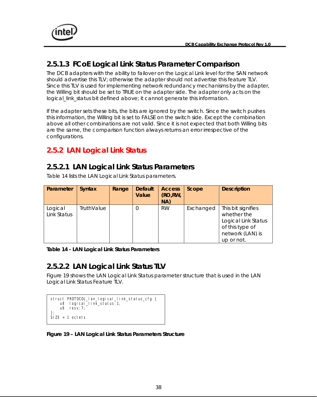<span id="page-37-0"></span>

#### **2.5.1.3 FCoE Logical Link Status Parameter Comparison**

The DCB adapters with the ability to failover on the Logical Link level for the SAN network should advertise this TLV; otherwise the adapter should not advertise this feature TLV. Since this TLV is used for implementing network redundancy mechanisms by the adapter, the Willing bit should be set to TRUE on the adapter side. The adapter only acts on the logical link status bit defined above; it cannot generate this information.

If the adapter sets these bits, the bits are ignored by the switch. Since the switch pushes this information, the Willing bit is set to FALSE on the switch side. Except the combination above all other combinations are not valid. Since it is not expected that both Willing bits are the same, the comparison function always returns an error irrespective of the configurations.

#### **2.5.2 LAN Logical Link Status**

#### **2.5.2.1 LAN Logical Link Status Parameters**

Table 14 lists the LAN Logical Link Status parameters.

| Parameter              | <b>Syntax</b>     | Range | <b>Default</b><br>Value | <b>Access</b><br>(RO, RW,<br>NA) | Scope     | <b>Description</b>                                                                                            |
|------------------------|-------------------|-------|-------------------------|----------------------------------|-----------|---------------------------------------------------------------------------------------------------------------|
| Logical<br>Link Status | <b>TruthValue</b> |       | 0                       | <b>RW</b>                        | Exchanged | This bit signifies<br>whether the<br>Logical Link Status<br>of this type of<br>network (LAN) is<br>up or not. |

**Table 14 - LAN Logical Link Status Parameters** 

#### **2.5.2.2 LAN Logical Link Status TLV**

Figure 19 shows the LAN Logical Link Status parameter structure that is used in the LAN Logical Link Status Feature TLV.

```
 u8 resv:7; 
}; 
SIZE = 1 octets
struct PROTOCOL_lan_logical_link_status_cfg { 
     u8 logical_link_status:1;
```
**Figure 19 – LAN Logical Link Status Parameters Structure**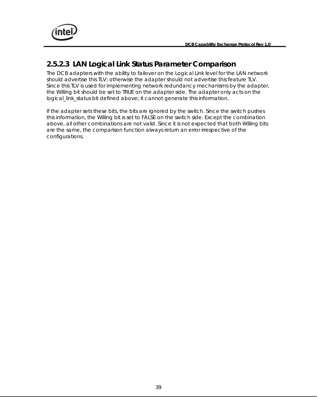

#### **2.5.2.3 LAN Logical Link Status Parameter Comparison**

The DCB adapters with the ability to failover on the Logical Link level for the LAN network should advertise this TLV; otherwise the adapter should not advertise this feature TLV. Since this TLV is used for implementing network redundancy mechanisms by the adapter, the Willing bit should be set to TRUE on the adapter side. The adapter only acts on the logical\_link\_status bit defined above; it cannot generate this information.

If the adapter sets these bits, the bits are ignored by the switch. Since the switch pushes this information, the Willing bit is set to FALSE on the switch side. Except the combination above, all other combinations are not valid. Since it is not expected that both Willing bits are the same, the comparison function always return an error irrespective of the configurations.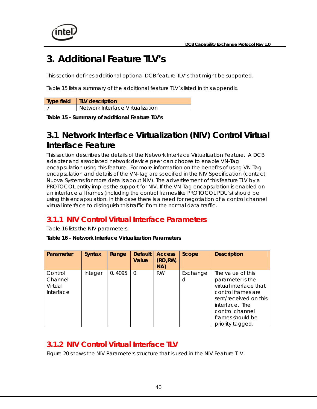<span id="page-39-0"></span>

# **3. Additional Feature TLV's**

This section defines additional optional DCB feature TLV's that might be supported.

Table 15 lists a summary of the additional feature TLV's listed in this appendix.

| Type field   TLV description     |
|----------------------------------|
| Network Interface Virtualization |

**Table 15 - Summary of additional Feature TLV's** 

# **3.1 Network Interface Virtualization (NIV) Control Virtual Interface Feature**

This section describes the details of the Network Interface Virtualization Feature. A DCB adapter and associated network device peer can choose to enable VN-Tag encapsulation using this feature. For more information on the benefits of using VN-Tag encapsulation and details of the VN-Tag are specified in the NIV Specification (contact Nuova Systems for more details about NIV). The advertisement of this feature TLV by a PROTOCOL entity implies the support for NIV. If the VN-Tag encapsulation is enabled on an interface all frames (including the control frames like PROTOCOL PDU's) should be using this encapsulation. In this case there is a need for negotiation of a control channel virtual interface to distinguish this traffic from the normal data traffic.

### **3.1.1 NIV Control Virtual Interface Parameters**

Table 16 lists the NIV parameters.

**Table 16 - Network Interface Virtualization Parameters** 

| Parameter                                  | <b>Syntax</b> | Range  | <b>Default</b><br>Value | <b>Access</b><br>(RO, RW,<br>NA) | Scope         | <b>Description</b>                                                                                                                                                                          |
|--------------------------------------------|---------------|--------|-------------------------|----------------------------------|---------------|---------------------------------------------------------------------------------------------------------------------------------------------------------------------------------------------|
| Control<br>Channel<br>Virtual<br>Interface | Integer       | 0.4095 | $\Omega$                | <b>RW</b>                        | Exchange<br>d | The value of this<br>parameter is the<br>virtual interface that<br>control frames are<br>sent/received on this<br>interface. The<br>control channel<br>frames should be<br>priority tagged. |

#### **3.1.2 NIV Control Virtual Interface TLV**

Figure 20 shows the NIV Parameters structure that is used in the NIV Feature TLV.